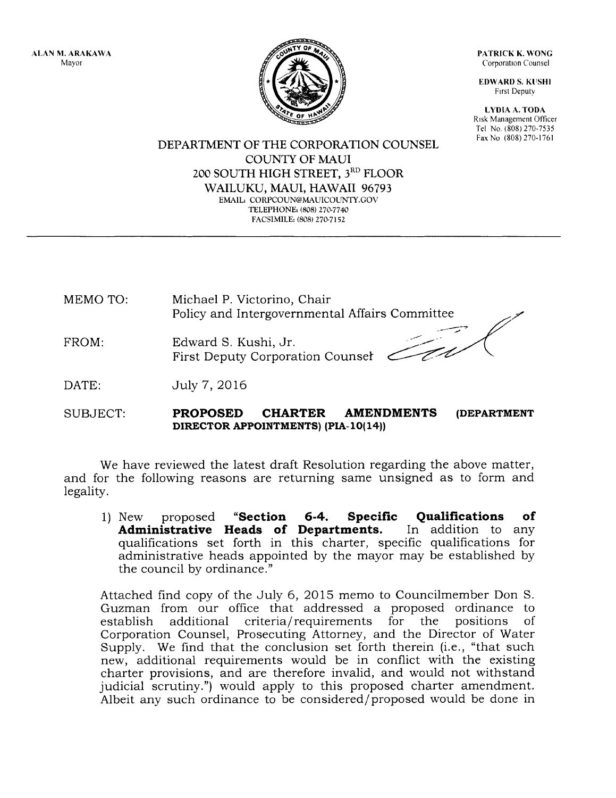ALAN M, ARAKAWA Mayor

PATRICK K. WONG Corporation Counsel

EDWARD S. KUSHI Frrst Deputv

LYDIA A. TODA Risk Management Officer Tel No, (808) 270-7535

DEPARTMENT OF THE CORPORATION COUNSEL Fax No (808) 270-1761 COLINTY OF MAUI 200 SOUTH HIGH STREET, 3<sup>RD</sup> FLOOR WAILUKU, MAUI, HAWAII 96793 EMAIL: CORPCOUN@MAUICOUNTY.GOV TELEPHONE, (808) 270-7740 FACSIMILE: (808) 270-7152

MEMO TO: Michael P. Victorino, Chair Policy and Intergovernmental Affairs Committee

FROM: Edward S. Kushi, Jr. First Deputy Corporation Counser

DATE: July 7, 2016

SUBJECT: PROPOSED CHARTER AMENDMENTS (DEPARTMENT DIRECTOR APPOINTMENTS) (PIA-10(14))

We have reviewed the latest draft Resolution regarding the above matter, and for the following reasons are returning same unsigned as to form and legality.

1) New proposed "Section 6-4. Specific Qualifications of Administrative Heads of Departments. In addition to any Administrative Heads of Departments. qualifications set forth in this charter, specific qualifications for administrative heads appointed by the mayor may be established by the council by ordinance."

Attached find copy of the July 6, 2O15 memo to Councilmember Don S. Guzman from our office that addressed a proposed ordinance to establish additionai criteria/requirements for the positions of Corporation Counsel, Prosecuting Attorney, and the Director of Water Supply. We find that the conclusion set forth therein (i.e., "that such new, additional requirements would be in conflict with the existing charter provisions, and are therefore invalid, and would not withstand judicial scrutiny.") would apply to this proposed charter amendment. Albeit any such ordinance to be considered/proposed would be done in

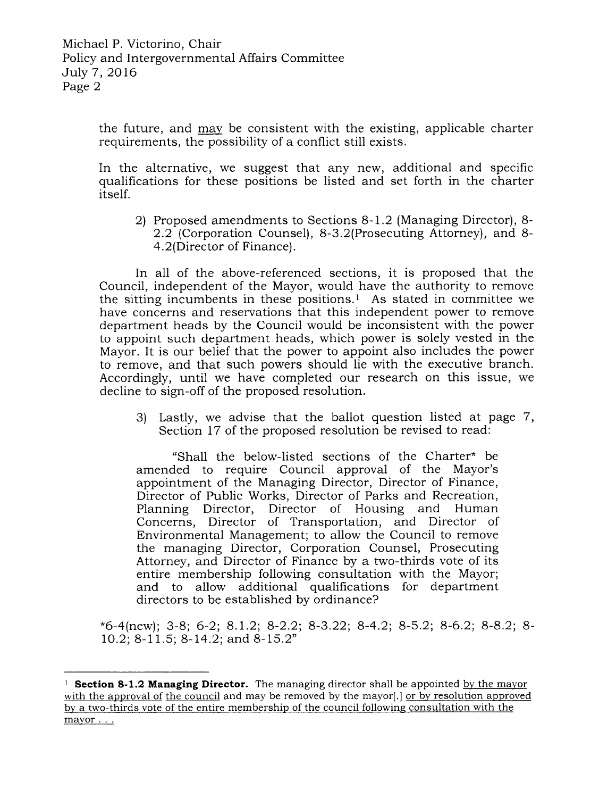the future, and may be consistent with the existing, applicable charter requirements, the possibility of a conflict still exists.

In the alternative, we suggest that any new, additional and specific qualifications for these positions be listed and set forth in the charter itself.

2) Proposed amendments to Sections 8-1.2 (Managing Director), 8- 2.2 (Corporation Counsel), 8-3.2(Prosecuting Attorney), and 8- 4.2(Director of Finance).

In all of the above-referenced sections, it is proposed that the Council, independent of the Mayor, would have the authority to remove the sitting incumbents in these positions.<sup>1</sup> As stated in committee we have concerns and reservations that this independent power to remove department heads by the Council would be inconsistent with the power to appoint such department heads, which power is solely vested in the Mayor. It is our belief that the power to appoint also includes the power to remove, and that such powers should lie with the executive branch. Accordingly, until we have completed our research on this issue, we decline to sign-off of the proposed resolution.

3) Lastly, we advise that the ballot question listed at page 7, Section 17 of the proposed resolution be revised to read:

"Shall the below-listed sections of the Charter\* be amended to require Council approval of the Mayor's appointment of the Managing Director, Director of Finance, Director of Public Works, Director of Parks and Recreation, Planning Director, Director of Housing and Human Concerns, Director of Transportation, and Director of Environmental Management; to allow the Council to remove the managing Director, Corporation Counsel, Prosecuting Attorney, and Director of Finance by a two-thirds vote of its entire membership following consultation with the Mayor; and to allow additional qualifications for department directors to be established by ordinance?

\*6-4(new); 3-8; 6-2; 8.1.2; 8-2.2; 8-3.22; 8-4.2; 8-5.2; 8-6.2; 8-8.2; 8- 10.2;  $8-11.5$ ;  $8-14.2$ ; and  $8-15.2$ "

<sup>&</sup>lt;sup>1</sup> **Section 8-1.2 Managing Director.** The managing director shall be appointed by the mayor with the approval of the council and may be removed by the mayor[.] or by resolution approved by a two-thirds vote of the entire membership of the council following consultation with the mayor . . .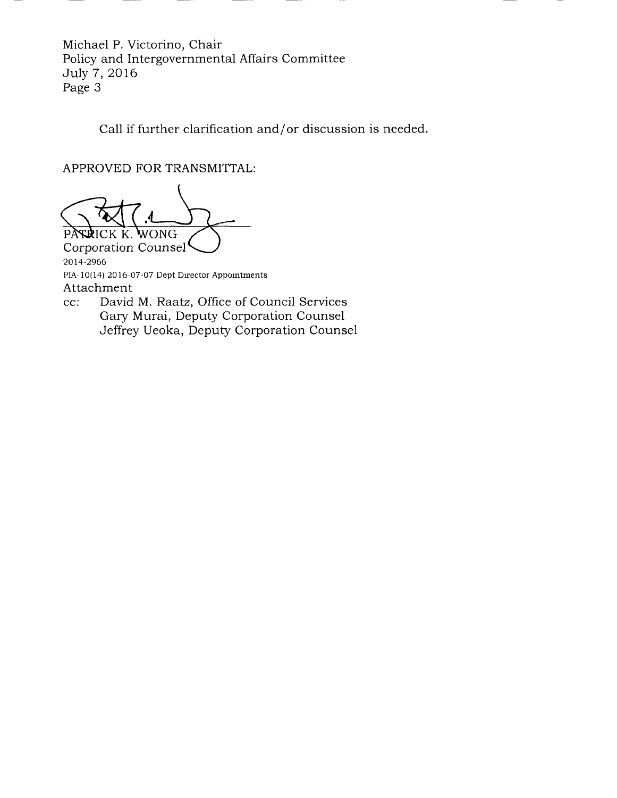Michael P. Victorino, Chair Policy and Intergovernmental Affairs Committee July 7, 2016 Page 3

Call if further clarification and/or discussion is needed.

APPROVED FOR TRANSMITTAL:

PASRICK K. WONG

2014-2966 PIA-10(14) 2016-07-07 Dept Director Appointments Attachment cc: David M. Raatz, Office of Council Services Corporation Counsel

Gary Murai, Deputy Corporation Counsel Jeffrey Ueoka, Deputy Corporation Counsel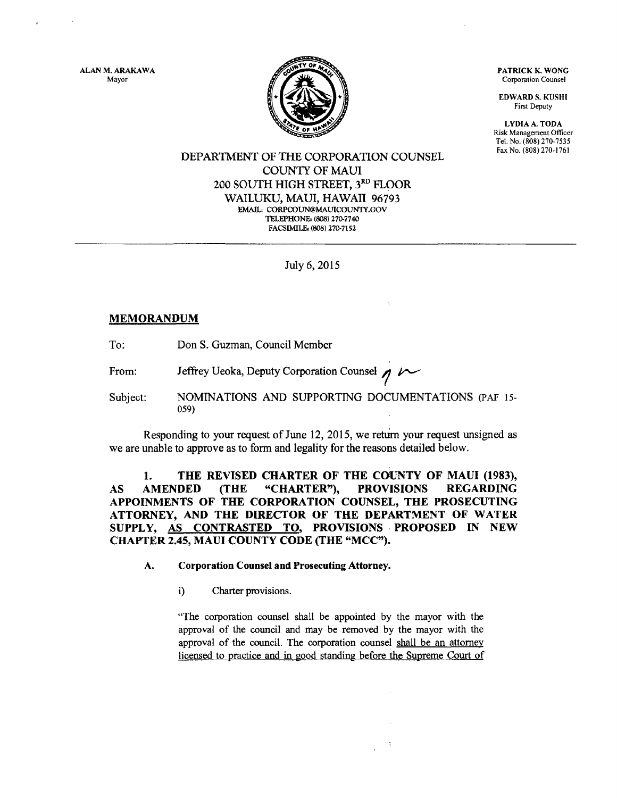ALAN M, ARAKAWA Mayor



PATRICK K. WONG Corporation Counsel

EDWARD S. KUSHI First Deputy

LYDIAA.TODA Risk Management Officer Tel. No. (808) 270-7535

## DEPARTMENT OF THE CORPORATION COUNSEL COLINTY OF MAUI 2OO SOUTH HIGH STREET, 3RD FLOOR WAILUKU, MAUI, HAWAII 96793 EMAIL: CORPCOUN@MAUICOUNTY.GOV TELEPHONE: (808) 270-7740 FACSIMILE: (808) 270-7152

July 6, 2015

# MEMORANDUM

To: Don S. Guzman, Council Mernber

From: Jeffrey Ueoka, Deputy Corporation Counsel  $n \sim$ 

Subject: NOMINATIONS AND SUPPORTING DOCUMENTATIONS (PAF 15- 0s9)

Responding to your request of June 12,2015, we retum your request unsigned as we are unable to approve as to form and legality for the reasons detailed below.

1. THE REVISED CHARTER OF THE COUNTY OF MAUI (1983), AS AMENDED (THE "CHARTER"), PROVISIONS REGARDING APPOINMENTS OF THE CORPORATION COUNSEL, THE PROSECUTING ATTORNEY, AND THE DIRECTOR OF THE DEPARTMENT OF WATER suppLy, As CoNTRASTED TO, PROVISIONS PROPOSED IN NEW CHAPTER 2.45, MAUI COUNTY CODE (THE "MCC").

## A. Corporation Counsel and Prosecuting Attorney.

i) Charter provisions.

"The corporation counsel shall be appointed by the mayor with the approval of the council and may be removed by the mayor with the approval of the council. The corporation counsel shall be an attomey licensed to practice and in good standing before the Supreme Court of

 $\ddot{z}$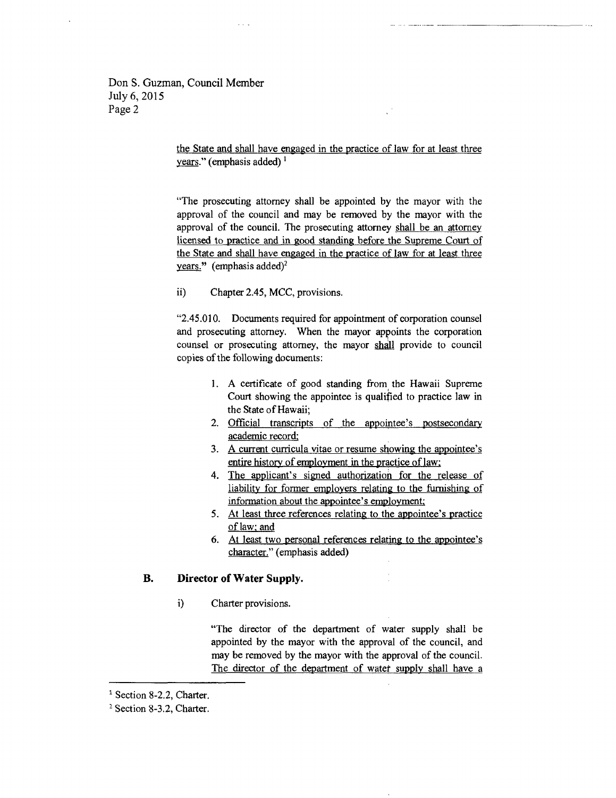Don S. Guzman, Council Member July 6, 2015 Page 2

> the State and shall have engaged in the practice of law for at least three years." (emphasis added)  $<sup>1</sup>$ </sup>

> "The prosecuting attomey shall be appointed by the mayor with the approval of the council and may be removed by the mayor with the approval of the council. The prosecuting attorney shall be an attomey licensed to practice and in good standing before the Supreme Court of the State and shall have engaged in the practice of law for at least three years." (emphasis added)<sup>2</sup>

ii) Chapter 2.45, MCC, provisions.

\*2.45.010. Documents required for appointment of corporation counsel and prosecuting attorney. When the mayor appoints the corporation counsel or prosecuting attorney, the mayor shall provide to council copies of the following documents:

- 1. A certificate of good standing from the Hawaii Supreme Court showing the appointee is qualified to practice law in the State of Hawaii;
- 2. Official transcripts of the appointee's postsecondary academic record:
- 3. A current curricula vitae or resume showing the appointee's entire history of employment in the practice of law:
- 4. The applicant's signed authorization for the release of liability for former employers relating to the furnishing of information about the appointee's ernployment:
- 5. At least three references relating to the appointee's practice of law: and
- At least two personal references relating to the appointee's character." (emphasis added)

#### Director of Water Supply. B.

i) Charter provisions.

"The director of the department of water supply shali be appointed by the mayor with the approval of the council, and may be removed by the mayor with the approval of the council. The director of the department of watef supply shall haye <sup>a</sup>

<sup>&</sup>lt;sup>1</sup> Section 8-2.2, Charter.

<sup>&</sup>lt;sup>2</sup> Section 8-3.2, Charter.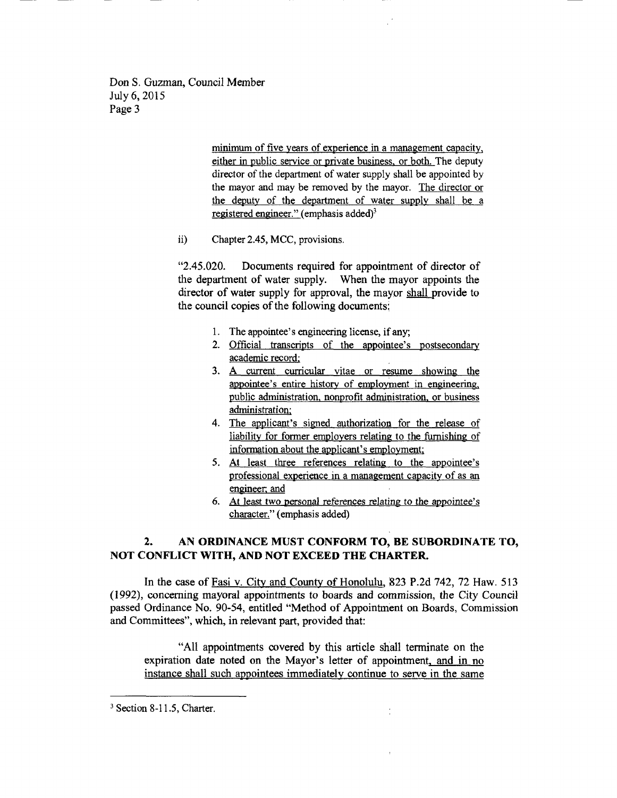Don S. Guzman, Council Member July 6,2015 Page 3

> minimum of five years of experience in a management capacity, either in public service or private business. or both. The deputy director of the department of water supply shali be appointed by the mayor and may be removed by the mayor. The director or the deputy of the department of water supply shall be a registered engineer." (emphasis added)<sup>3</sup>

ii) Chapter 2.45, MCC, provisions.

"2.45.020. Documents required for appointment of director of the department of water supply. When the mayor appoints the director of water supply for approval, the mayor shall provide to the council copies of the following documents:

- 1. The appointee's engineering license, if any;
- 2. Official transcripts of the appointee's postsecondary academic record:
- 3. A current curricular vitae or resume showing the appointee's entire history of employment in engineering, public administration. nonorofit administration. or business administration:
- 4. The applicant's signed authorization for the release of liability for former employers relating to the fumishing of information about the applicant's employment;
- 5. At least three references relating to the appointee's professional experience in a management capacity of as an engineer: and
- 6. At least two personal references relating to the appointee's character." (emphasis added)

 $\frac{1}{\epsilon}$ 

# 2. AN ORDINANCE MUST CONFORM TO, BE SUBORDINATE TO, NOT CONFLICT WITH, AND NOT EXCEED THE CHARTER.

In the case of Fasi v. City and County of Honolulu, 823 P.2d 742, 72 Haw. 513 (1992), concerning mayoral appointments to boards and commission, the City Council passed Ordinance No. 90-54, entitled \*Method of Appointment on Boards, Commission and Committees", which, in relevant part, provided that:

"All appointments covered by this article shall terminate on the expiration date noted on the Mayor's letter of appointment, and in no instance shall such appointees immediately continue to serve in the same

 $3$  Section 8-11.5, Charter.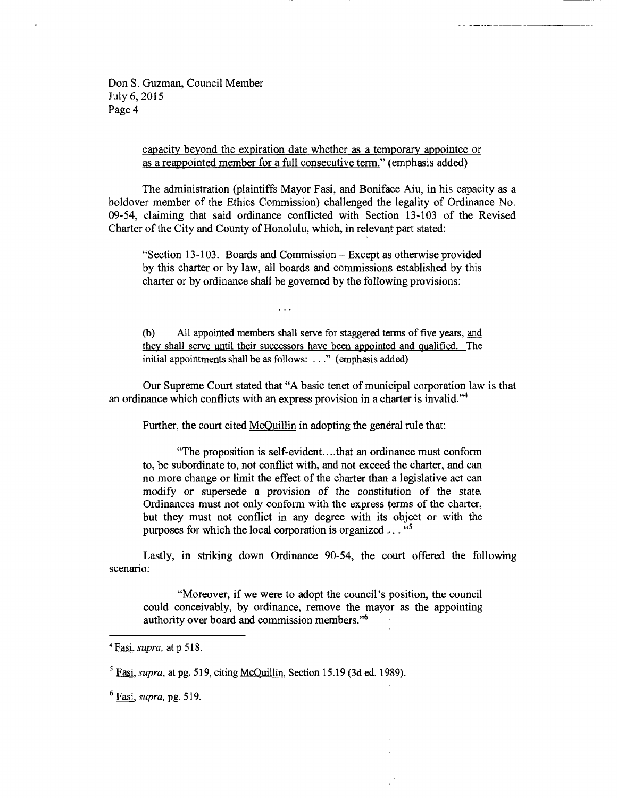Don S. Guzman, Council Member July 6, 2015 Page 4

> capacity beyond the expiration date whether as a temporary appointee or as a reappointed member for a full consecutive term." (emphasis added)

The administration (plaintiffs Mayor Fasi, and Boniface Aiu, in his capacity as a holdover member of the Ethics Commission) challenged the legality of Ordinance No. 09-54, claiming that said ordinance conflicted with Section 13-103 of the Revised Charter of the City and County of Honolulu, which, in relevant part stated:

"Section l3-103. Boards and Commission - Except as otherwise provided by this charter or by law, all boards and commissions established by this charter or by ordinance shall be governed by the following provisions:

(b) A1l appointed mernbers shall serve for staggered terms of five years, and they shall serve until their successors have been appointed and qualified. The initial appointments shall be as follows: ..." (emphasis added)

Our Supreme Court stated that "A basic tenet of municipal corporation law is that an ordinance which conflicts with an express provision in a charter is invalid. $"^4$ 

Further, the court cited McQuillin in adopting the general rule that:

"The proposition is self-evident....that an ordinance must conform to, be subordinate to, not conflict with, and not exceed the charter, and can no more change or limit the effect of the charter than a legislative act can modify or supersede a provision of the constitution of the state. Ordinances must not only conform with the express terms of the charter, but they must not conflict in any degree with its object or with the purposes for which the local corporation is organized  $\ldots$  "s"

Lastly, in striking down Ordinance 90-54, the court offered the following scenario:

"Moreover, if we were to adopt the council's position, the council could conceivably, by ordinance, remove the mayor as the appointing authority over board and commission members."6

 $4$  Fasi, supra, at p 518.

 $5$  Fasi, supra, at pg. 519, citing McOuillin, Section 15.19 (3d ed. 1989).

 $<sup>6</sup>$  Fasi, supra, pg. 519,</sup>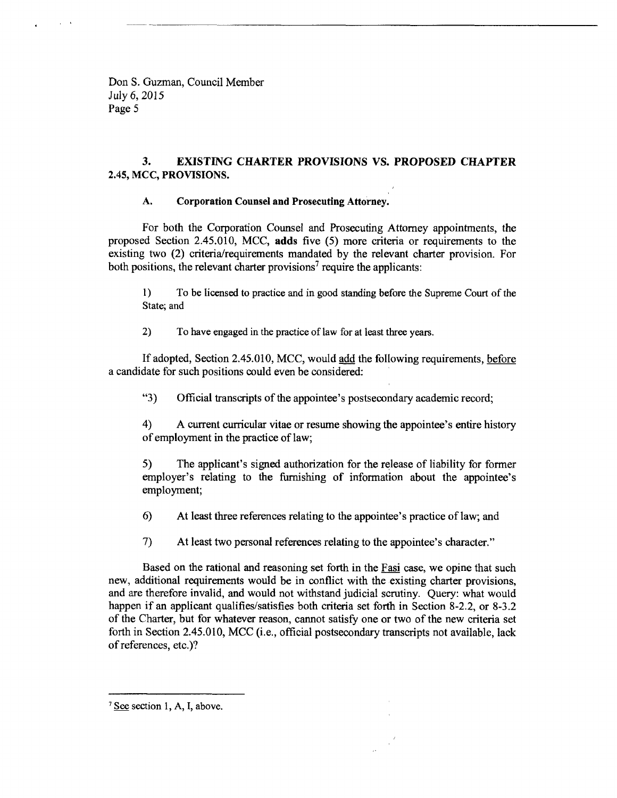Don S. Guzman, Council Member July 6,2015 Page 5

# 3. EXISTING CHARTER PROVISIONS VS. PROPOSED CHAPTER 2.45, MCC, PROVISIONS.

## A. Corporation Counsel and Prosecuting Attorney.

For both the Corporation Coursel and Prosecuting Attorney appointments, the proposed Section 2.45.010, MCC, adds five (5) more criteria or requirements to the existing two (2) criteria/requirements mandated by the relevant charter provision. For both positions, the relevant charter provisions<sup>7</sup> require the applicants:

1) To be licensed to practice and in good standing before the Supreme Court of the State; and

2) To have engaged in the practice of law for at least three years.

If adopted, Section 2.45.010, MCC, would add the following requirements, before a candidate for such positions could even be considered:

"3) Official transcripts of the appointee's postsecondary academic record;

4) A current curricular vitae or resume showing the appointee's entire history of employment in the practice of law;

5) The applicant's signed authorization for the release of liability for former employer's relating to the fumishing of information about the appointee's employment;

6) At least three references relating to the appointee's practice of law; and

7) At least two personal references relating to the appointee's character."

Based on the rational and reasoning set forth in the Fasi case, we opine that such new, additional requirements would be in conflict with the existing charter provisions, and are therefore invalid, and would not withstand judicial scrutiny. Query: what would happen if an applicant qualifies/satisfies both criteria set forth in Section 8-2.2, or 8-3.2 of the Charter, but for whatever reason, cannot satisfy one or two of the new criteria set forth in Section 2.45.010, MCC (i.e., official postsecondary transcripts not available, lack of references, etc.)?

 $7$  See section 1, A, I, above.